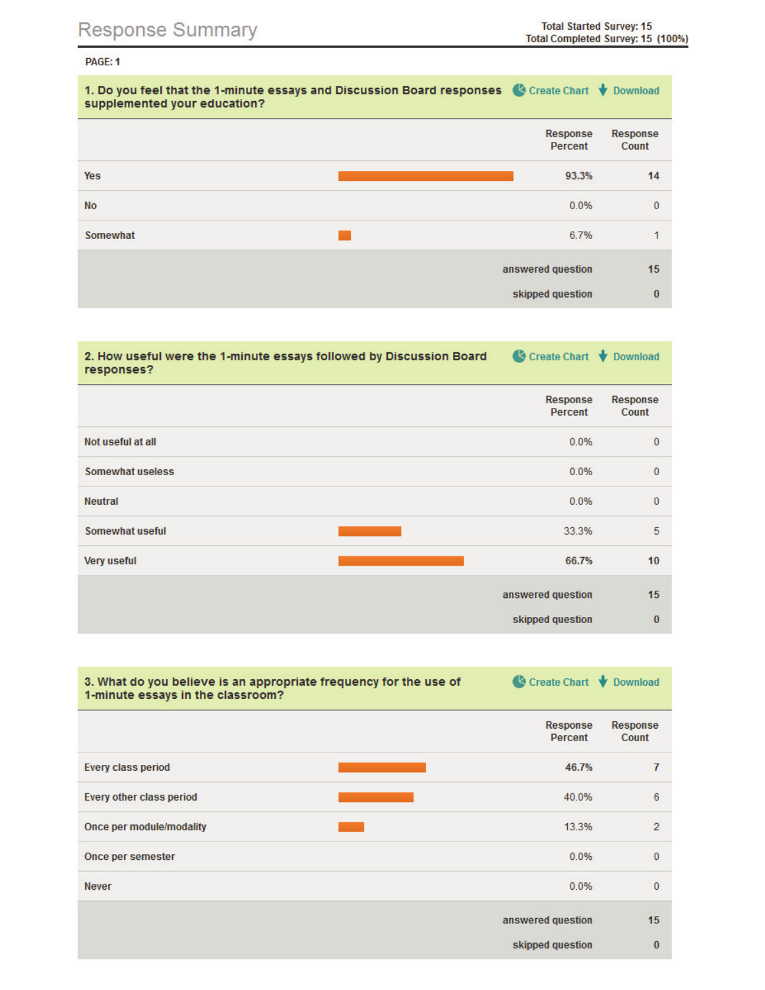## PAGE: 1

| 1. Do you feel that the 1-minute essays and Discussion Board responses & Create Chart V Download<br>supplemented your education? |                     |                   |
|----------------------------------------------------------------------------------------------------------------------------------|---------------------|-------------------|
|                                                                                                                                  | Response<br>Percent | Response<br>Count |
| <b>Yes</b>                                                                                                                       | 93.3%               | 14                |
| <b>No</b>                                                                                                                        | 0.0%                | $\mathbf{0}$      |
| Somewhat                                                                                                                         | 6.7%                | ۹                 |
|                                                                                                                                  | answered question   | 15                |
|                                                                                                                                  | skipped question    | $\bf{0}$          |

| 2. How useful were the 1-minute essays followed by Discussion Board<br>responses? | Create Chart V Download |                   |
|-----------------------------------------------------------------------------------|-------------------------|-------------------|
|                                                                                   | Response<br>Percent     | Response<br>Count |
| Not useful at all                                                                 | 0.0%                    | $\mathbf{0}$      |
| Somewhat useless                                                                  | 0.0%                    | $\mathbf{0}$      |
| <b>Neutral</b>                                                                    | 0.0%                    | $\mathbf{0}$      |
| Somewhat useful                                                                   | 33.3%                   | 5                 |
| <b>Very useful</b>                                                                | 66.7%                   | 10 <sup>1</sup>   |
|                                                                                   | answered question       | 15                |
|                                                                                   | skipped question        | $\bf{0}$          |

| 3. What do you believe is an appropriate frequency for the use of<br>1-minute essays in the classroom? | Create Chart V Download |                          |
|--------------------------------------------------------------------------------------------------------|-------------------------|--------------------------|
|                                                                                                        | Response<br>Percent     | <b>Response</b><br>Count |
| <b>Every class period</b>                                                                              | 46.7%                   | 7                        |
| Every other class period                                                                               | 40.0%                   | 6                        |
| Once per module/modality                                                                               | 13.3%                   | $\overline{2}$           |
| Once per semester                                                                                      | 0.0%                    | $\mathbf 0$              |
| <b>Never</b>                                                                                           | 0.0%                    | $\Omega$                 |
|                                                                                                        | answered question       | 15                       |
|                                                                                                        | skipped question        | $\bf{0}$                 |